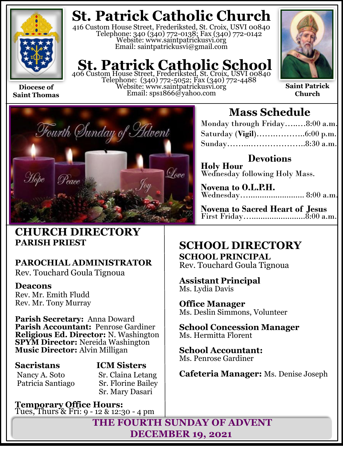

**Diocese of Saint Thomas**

## **St. Patrick Catholic Church**

416 Custom House Street, Frederiksted, St. Croix, USVI 00840 Telephone: 340 (340) 772-0138; Fax (340) 772-0142 Website: www.saintpatrickusvi.org Email: saintpatrickusvi@gmail.com

## **St. Patrick Catholic School**

406 Custom House Street, Frederiksted, St. Croix, USVI 00840 Telephone: (340) 772-5052; Fax (340) 772-4488 Website: www.saintpatrickusvi.org Email: sps1866@yahoo.com



**Saint Patrick Church**



## **CHURCH DIRECTORY PARISH PRIEST**

## **PAROCHIAL ADMINISTRATOR**

Rev. Touchard Goula Tignoua

### **Deacons**

Rev. Mr. Emith Fludd Rev. Mr. Tony Murray

**Parish Secretary:** Anna Doward **Parish Accountant:** Penrose Gardiner **Religious Ed. Director:** N. Washington **SPYM Director:** Nereida Washington **Music Director:** Alvin Milligan

## **Sacristans ICM Sisters**

Nancy A. Soto Sr. Claina Letang Patricia Santiago Sr. Florine Bailey Sr. Mary Dasari

**Temporary Office Hours:**  Tues, Thurs & Fri: 9 - 12 & 12:30 - 4 pm

## **Mass Schedule**

| Monday through Friday8:00 a.m. |  |
|--------------------------------|--|
|                                |  |
|                                |  |

**Devotions Holy Hour**  Wednesday following Holy Mass.

**Novena to O.L.P.H.** Wednesday…......................... 8:00 a.m.

**Novena to Sacred Heart of Jesus** First Friday…........................8:00 a.m.

## **SCHOOL DIRECTORY SCHOOL PRINCIPAL**

Rev. Touchard Goula Tignoua

**Assistant Principal** Ms. Lydia Davis

**Office Manager** Ms. Deslin Simmons, Volunteer

**School Concession Manager** Ms. Hermitta Florent

**School Accountant:**  Ms. Penrose Gardiner

**Cafeteria Manager:** Ms. Denise Joseph

**THE FOURTH SUNDAY OF ADVENT DECEMBER 19, 2021**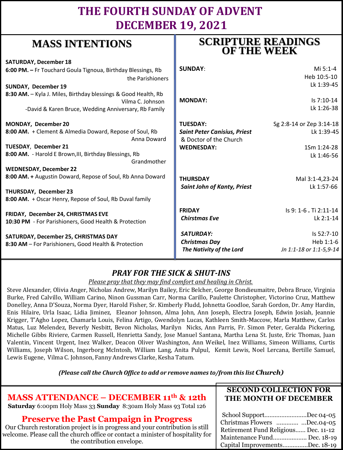## **THE FOURTH SUNDAY OF ADVENT DECEMBER 19, 2021**

## **MASS INTENTIONS**

| where hyperically                                                                           | <b>OF THE WEEK</b>                                            |                          |
|---------------------------------------------------------------------------------------------|---------------------------------------------------------------|--------------------------|
| <b>SATURDAY, December 18</b>                                                                |                                                               |                          |
| 6:00 PM. - Fr Touchard Goula Tignoua, Birthday Blessings, Rb                                | <b>SUNDAY:</b>                                                | Mi 5:1-4                 |
| the Parishioners                                                                            |                                                               | Heb 10:5-10              |
| <b>SUNDAY, December 19</b>                                                                  |                                                               | Lk 1:39-45               |
| 8:30 AM. - Kyla J. Miles, Birthday blessings & Good Health, Rb<br>Vilma C. Johnson          | <b>MONDAY:</b>                                                | Is 7:10-14               |
| -David & Karen Bruce, Wedding Anniversary, Rb Family                                        |                                                               | Lk 1:26-38               |
| MONDAY, December 20                                                                         | <b>TUESDAY:</b>                                               | Sg 2:8-14 or Zep 3:14-18 |
| 8:00 AM. + Clement & Almedia Doward, Repose of Soul, Rb<br>Anna Doward                      | <b>Saint Peter Canisius, Priest</b><br>& Doctor of the Church | Lk 1:39-45               |
| TUESDAY, December 21                                                                        | <b>WEDNESDAY:</b>                                             | 1Sm 1:24-28              |
| 8:00 AM. - Harold E Brown, III, Birthday Blessings, Rb<br>Grandmother                       |                                                               | Lk 1:46-56               |
| <b>WEDNESDAY, December 22</b>                                                               |                                                               |                          |
| 8:00 AM. + Augustin Doward, Repose of Soul, Rb Anna Doward                                  | <b>THURSDAY</b>                                               | Mal 3:1-4,23-24          |
| THURSDAY, December 23<br>8:00 AM. + Oscar Henry, Repose of Soul, Rb Duval family            | <b>Saint John of Kanty, Priest</b>                            | Lk 1:57-66               |
|                                                                                             | <b>FRIDAY</b>                                                 | Is 9: 1-6 . Ti 2:11-14   |
| FRIDAY, December 24, CHRISTMAS EVE<br>10:30 PM - For Parishioners, Good Health & Protection | <b>Chirstmas Eve</b>                                          | Lk 2:1-14                |
| SATURDAY, December 25, CHRISTMAS DAY                                                        | SATURDAY:                                                     | Is 52:7-10               |
| 8:30 AM - For Parishioners, Good Health & Protection                                        | <b>Christmas Day</b>                                          | Heb 1:1-6                |
|                                                                                             | The Nativity of the Lord                                      | Jn 1:1-18 or 1:1-5,9-14  |

## *PRAY FOR THE SICK & SHUT-INS*

*Please pray that they may find comfort and healing in Christ.*

Steve Alexander, Olivia Anger, Nicholas Andrew, Marilyn Bailey, Eric Belcher, George Bondieumaitre, Debra Bruce, Virginia Burke, Fred Calvillo, William Carino, Ninon Gussman Carr, Norma Carillo, Paulette Christopher, Victorino Cruz, Matthew Donelley, Anna D'Souza, Norma Dyer, Harold Fisher, Sr. Kimberly Fludd, Johnetta Goodloe, Sarah Gordon, Dr. Amy Hardin, Enis Hilaire, Urla Isaac, Lidia Jiminez, Eleanor Johnson, Alma John, Ann Joseph, Electra Joseph, Edwin Josiah, Jeannie Krigger, T'Agho Lopez, Chamarla Louis, Felina Artigo, Gwendolyn Lucas, Kathleen Smith-Maccow, Marla Matthew, Carlos Matus, Luz Melendez, Beverly Nesbitt, Bevon Nicholas, Marilyn Nicks, Ann Parris, Fr. Simon Peter, Geralda Pickering, Michelle Gibbs Riviere, Carmen Russell, Henrietta Sandy, Jose Manuel Santana, Martha Lena St. Juste, Eric Thomas, Juan Valentin, Vincent Urgent, Inez Walker, Deacon Oliver Washington, Ann Weikel, Inez Williams, Simeon Williams, Curtis Williams, Joseph Wilson, Ingerborg McIntosh, William Lang, Anita Pulpul, Kemit Lewis, Noel Lercana, Bertille Samuel, Lewis Eugene, Vilma C. Johnson, Fanny Andrews Clarke, Kesha Tatum.

*(Please call the Church Office to add or remove names to/from this list Church)*

## **MASS ATTENDANCE – DECEMBER 11th & 12th**

**Saturday** 6:00pm Holy Mass 33 **Sunday** 8:30am Holy Mass 93 Total 126

### **Preserve the Past Campaign in Progress**

Our Church restoration project is in progress and your contribution is still welcome. Please call the church office or contact a minister of hospitality for the contribution envelope.

### **SECOND COLLECTION FOR THE MONTH OF DECEMBER**

**SCRIPTURE READINGS** 

| School SupportDec 04-05              |  |
|--------------------------------------|--|
| Christmas Flowers  Dec.04-05         |  |
| Retirement Fund Religious Dec. 11-12 |  |
| Maintenance Fund Dec. 18-19          |  |
| Capital ImprovementsDec. 18-19       |  |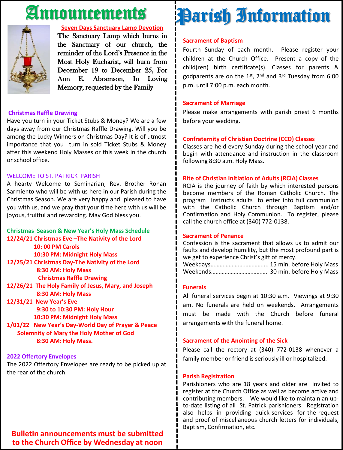# Announcements



#### **Seven Days Sanctuary Lamp Devotion**

The Sanctuary Lamp which burns in the Sanctuary of our church, the reminder of the Lord's Presence in the Most Holy Eucharist, will burn from December 19 to December 25, For Ann E. Abramson, In Loving Memory, requested by the Family

#### **Christmas Raffle Drawing**

Have you turn in your Ticket Stubs & Money? We are a few days away from our Christmas Raffle Drawing. Will you be among the Lucky Winners on Christmas Day? It is of utmost importance that you turn in sold Ticket Stubs & Money after this weekend Holy Masses or this week in the church or school office.

#### WELCOME TO ST. PATRICK PARISH

A hearty Welcome to Seminarian, Rev. Brother Ronan Sarmiento who will be with us here in our Parish during the Christmas Season. We are very happy and pleased to have you with us, and we pray that your time here with us will be joyous, fruitful and rewarding. May God bless you.

### **Christmas Season & New Year's Holy Mass Schedule 12/24/21 Christmas Eve –The Nativity of the Lord 10: 00 PM Carols 10:30 PM: Midnight Holy Mass**

**12/25/21 Christmas Day-The Nativity of the Lord 8:30 AM: Holy Mass Christmas Raffle Drawing**

**12/26/21 The Holy Family of Jesus, Mary, and Joseph 8:30 AM: Holy Mass**

**12/31/21 New Year's Eve 9:30 to 10:30 PM: Holy Hour**

**10:30 PM: Midnight Holy Mass 1/01/22 New Year's Day-World Day of Prayer & Peace Solemnity of Mary the Holy Mother of God**

**8:30 AM: Holy Mass.**

### **2022 Offertory Envelopes**

The 2022 Offertory Envelopes are ready to be picked up at the rear of the church.

# **Sacrament of Baptism** Parish Information

Fourth Sunday of each month. Please register your children at the Church Office. Present a copy of the child(ren) birth certificate(s). Classes for parents & godparents are on the 1st, 2<sup>nd</sup> and 3<sup>rd</sup> Tuesday from 6:00 p.m. until 7:00 p.m. each month.

### **Sacrament of Marriage**

Please make arrangements with parish priest 6 months before your wedding.

### **Confraternity of Christian Doctrine (CCD) Classes**

Classes are held every Sunday during the school year and begin with attendance and instruction in the classroom following 8:30 a.m. Holy Mass.

### **Rite of Christian Initiation of Adults (RCIA) Classes**

RCIA is the journey of faith by which interested persons become members of the Roman Catholic Church. The program instructs adults to enter into full communion with the Catholic Church through Baptism and/or Confirmation and Holy Communion. To register, please call the church office at (340) 772-0138.

### **Sacrament of Penance**

Confession is the sacrament that allows us to admit our faults and develop humility, but the most profound part is we get to experience Christ's gift of mercy.

Weekdays……………….…………….... 15 min. before Holy Mass Weekends………………………………. 30 min. before Holy Mass

### **Funerals**

All funeral services begin at 10:30 a.m. Viewings at 9:30 am. No funerals are held on weekends. Arrangements must be made with the Church before funeral arrangements with the funeral home.

### **Sacrament of the Anointing of the Sick**

Please call the rectory at (340) 772-0138 whenever a family member or friend is seriously ill or hospitalized.

#### **Parish Registration**

Parishioners who are 18 years and older are invited to register at the Church Office as well as become active and contributing members. We would like to maintain an upto-date listing of all St. Patrick parishioners. Registration also helps in providing quick services for the request and proof of miscellaneous church letters for individuals, Baptism, Confirmation, etc.

**Bulletin announcements must be submitted to the Church Office by Wednesday at noon**